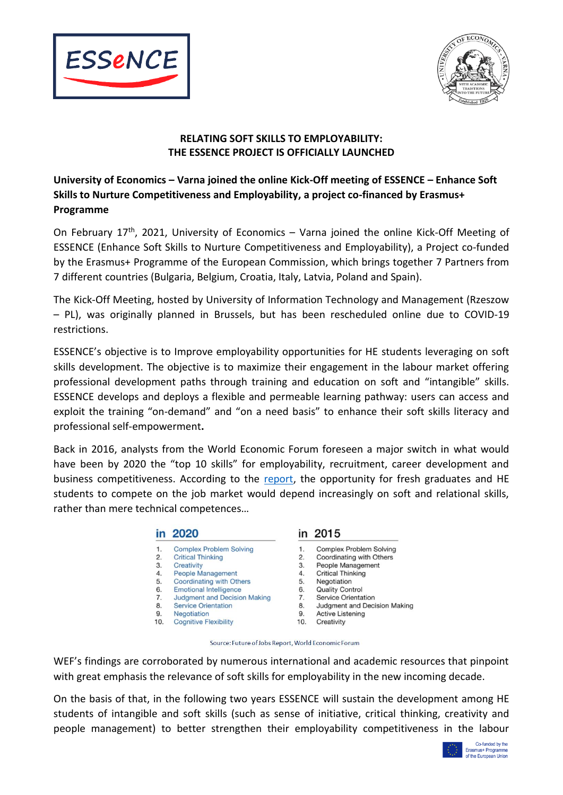



## **RELATING SOFT SKILLS TO EMPLOYABILITY: THE ESSENCE PROJECT IS OFFICIALLY LAUNCHED**

## **University of Economics – Varna joined the online Kick-Off meeting of ESSENCE – Enhance Soft Skills to Nurture Competitiveness and Employability, a project co-financed by Erasmus+ Programme**

On February 17<sup>th</sup>, 2021, University of Economics - Varna joined the online Kick-Off Meeting of ESSENCE (Enhance Soft Skills to Nurture Competitiveness and Employability), a Project co-funded by the Erasmus+ Programme of the European Commission, which brings together 7 Partners from 7 different countries (Bulgaria, Belgium, Croatia, Italy, Latvia, Poland and Spain).

The Kick-Off Meeting, hosted by University of Information Technology and Management (Rzeszow – PL), was originally planned in Brussels, but has been rescheduled online due to COVID-19 restrictions.

ESSENCE's objective is to Improve employability opportunities for HE students leveraging on soft skills development. The objective is to maximize their engagement in the labour market offering professional development paths through training and education on soft and "intangible" skills. ESSENCE develops and deploys a flexible and permeable learning pathway: users can access and exploit the training "on-demand" and "on a need basis" to enhance their soft skills literacy and professional self-empowerment**.**

Back in 2016, analysts from the World Economic Forum foreseen a major switch in what would have been by 2020 the "top 10 skills" for employability, recruitment, career development and business competitiveness. According to the [report,](http://www3.weforum.org/docs/WEF_Future_of_Jobs.pdf) the opportunity for fresh graduates and HE students to compete on the job market would depend increasingly on soft and relational skills, rather than mere technical competences…

|        | in 2020                                                                                                   |        | in 2015                                    |
|--------|-----------------------------------------------------------------------------------------------------------|--------|--------------------------------------------|
| 1.     | <b>Complex Problem Solving</b>                                                                            | 1.     | <b>Complex Problem Solvir</b>              |
| 2.     | <b>Critical Thinking</b>                                                                                  | 2.     | Coordinating with Other                    |
| 3.     | Creativity                                                                                                | 3.     | People Management                          |
| 4.     | <b>People Management</b>                                                                                  | 4.     | <b>Critical Thinking</b>                   |
| 5.     | <b>Coordinating with Others</b>                                                                           | 5.     | Negotiation                                |
| 6.     | <b>Emotional Intelligence</b>                                                                             | 6.     | <b>Quality Control</b>                     |
| 7.     | <b>Judgment and Decision Making</b>                                                                       | 7.     | Service Orientation                        |
| 8.     | <b>Service Orientation</b>                                                                                | 8.     | <b>Judgment and Decision</b>               |
| $\sim$ | $\mathbf{A}$ <b>1</b> $\mathbf{A}$ = $\mathbf{A}$ $\mathbf{A}$ = $\mathbf{A}$ $\mathbf{A}$ = $\mathbf{A}$ | $\sim$ | $A = 11$ , and $A = 1$ , $A = 1$ , $A = 1$ |

- Negotiation
- $10$ **Cognitive Flexibility**
- ng
- ċ
- Making
- **Active Listening**
- Creativity  $10.$

Source: Future of Jobs Report, World Economic Forum

WEF's findings are corroborated by numerous international and academic resources that pinpoint with great emphasis the relevance of soft skills for employability in the new incoming decade.

On the basis of that, in the following two years ESSENCE will sustain the development among HE students of intangible and soft skills (such as sense of initiative, critical thinking, creativity and people management) to better strengthen their employability competitiveness in the labour